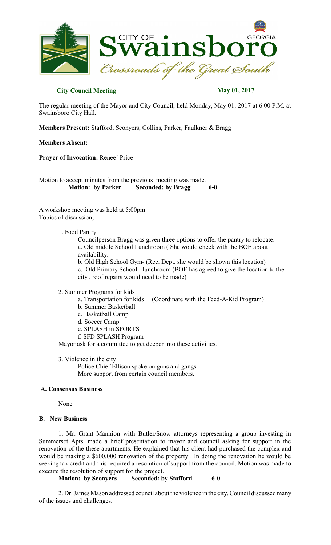

# **City Council Meeting May 01, 2017**

The regular meeting of the Mayor and City Council, held Monday, May 01, 2017 at 6:00 P.M. at Swainsboro City Hall.

**Members Present:** Stafford, Sconyers, Collins, Parker, Faulkner & Bragg

**Members Absent:**

**Prayer of Invocation:** Renee' Price

Motion to accept minutes from the previous meeting was made.<br>Motion: by Parker Seconded: by Bragg  **Seconded:** by **Bragg** 6-0

A workshop meeting was held at 5:00pm Topics of discussion;

#### 1. Food Pantry

Councilperson Bragg was given three options to offer the pantry to relocate. a. Old middle School Lunchroom ( She would check with the BOE about availability.

b. Old High School Gym- (Rec. Dept. she would be shown this location) c. Old Primary School - lunchroom (BOE has agreed to give the location to the city , roof repairs would need to be made)

#### 2. Summer Programs for kids

- a. Transportation for kids (Coordinate with the Feed-A-Kid Program)
- b. Summer Basketball
- c. Basketball Camp
- d. Soccer Camp
- e. SPLASH in SPORTS
- f. SFD SPLASH Program

Mayor ask for a committee to get deeper into these activities.

3. Violence in the city

Police Chief Ellison spoke on guns and gangs. More support from certain council members.

## **A. Consensus Business**

None

## **B. New Business**

1. Mr. Grant Mannion with Butler/Snow attorneys representing a group investing in Summerset Apts. made a brief presentation to mayor and council asking for support in the renovation of the these apartments. He explained that his client had purchased the complex and would be making a \$600,000 renovation of the property . In doing the renovation he would be seeking tax credit and this required a resolution of support from the council. Motion was made to execute the resolution of support for the project.

```
Motion: by Sconyers Seconded: by Stafford 6-0
```
2. Dr. James Mason addressed council about the violence in the city. Council discussed many of the issues and challenges.